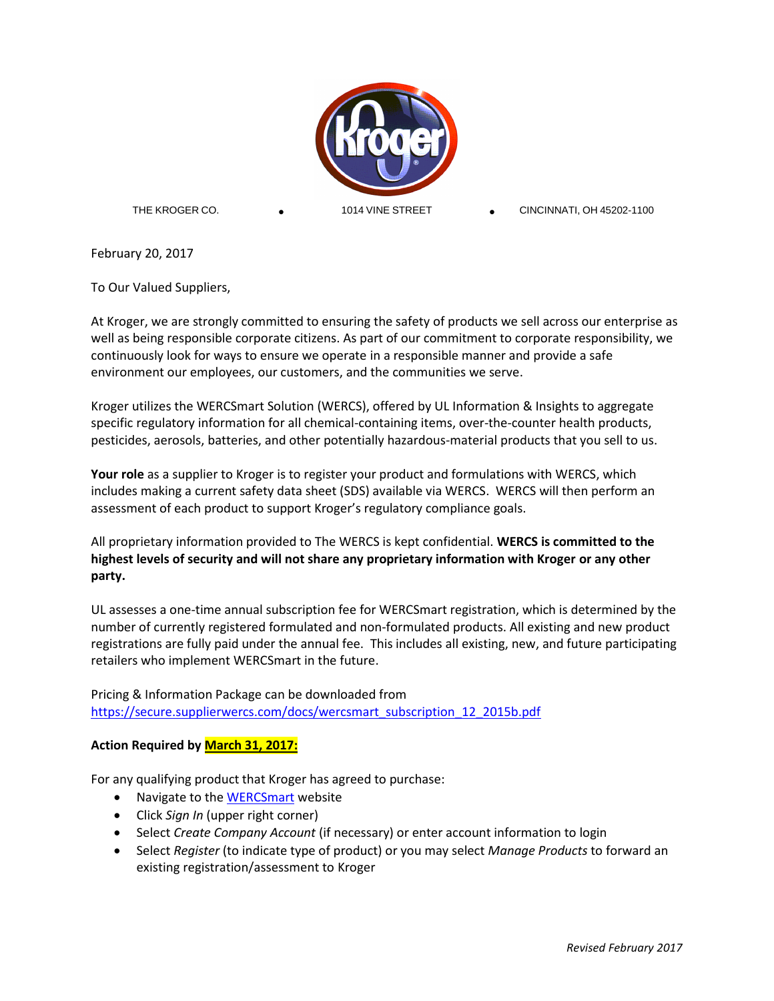

THE KROGER CO.

CINCINNATI, OH 45202-1100

February 20, 2017

To Our Valued Suppliers,

At Kroger, we are strongly committed to ensuring the safety of products we sell across our enterprise as well as being responsible corporate citizens. As part of our commitment to corporate responsibility, we continuously look for ways to ensure we operate in a responsible manner and provide a safe environment our employees, our customers, and the communities we serve.

Kroger utilizes the WERCSmart Solution (WERCS), offered by UL Information & Insights to aggregate specific regulatory information for all chemical-containing items, over-the-counter health products, pesticides, aerosols, batteries, and other potentially hazardous-material products that you sell to us.

**Your role** as a supplier to Kroger is to register your product and formulations with WERCS, which includes making a current safety data sheet (SDS) available via WERCS. WERCS will then perform an assessment of each product to support Kroger's regulatory compliance goals.

All proprietary information provided to The WERCS is kept confidential. **WERCS is committed to the highest levels of security and will not share any proprietary information with Kroger or any other party.**

UL assesses a one-time annual subscription fee for WERCSmart registration, which is determined by the number of currently registered formulated and non-formulated products. All existing and new product registrations are fully paid under the annual fee. This includes all existing, new, and future participating retailers who implement WERCSmart in the future.

Pricing & Information Package can be downloaded from [https://secure.supplierwercs.com/docs/wercsmart\\_subscription\\_12\\_2015b.pdf](https://secure.supplierwercs.com/docs/wercsmart_subscription_12_2015b.pdf)

# **Action Required by March 31, 2017:**

For any qualifying product that Kroger has agreed to purchase:

- Navigate to the **WERCSmart** website
- Click *Sign In* (upper right corner)
- Select *Create Company Account* (if necessary) or enter account information to login
- Select *Register* (to indicate type of product) or you may select *Manage Products* to forward an existing registration/assessment to Kroger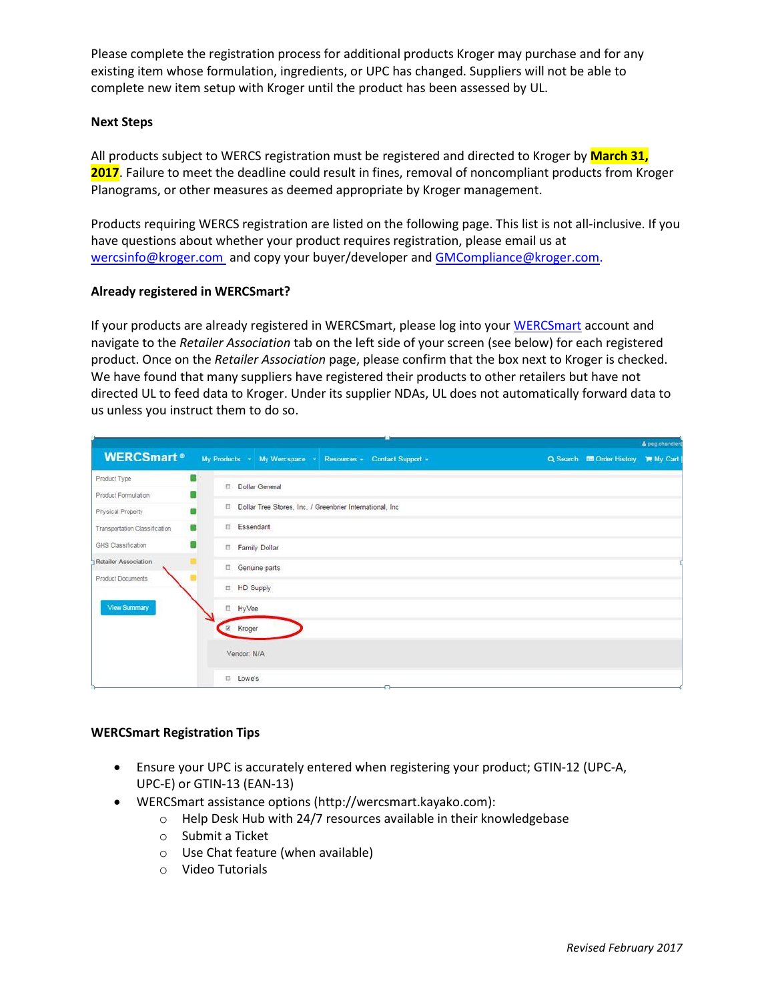Please complete the registration process for additional products Kroger may purchase and for any existing item whose formulation, ingredients, or UPC has changed. Suppliers will not be able to complete new item setup with Kroger until the product has been assessed by UL.

## **Next Steps**

All products subject to WERCS registration must be registered and directed to Kroger by **March 31, 2017**. Failure to meet the deadline could result in fines, removal of noncompliant products from Kroger Planograms, or other measures as deemed appropriate by Kroger management.

Products requiring WERCS registration are listed on the following page. This list is not all-inclusive. If you have questions about whether your product requires registration, please email us at [wercsinfo@kroger.com](mailto:wercsinfo@kroger.com) and copy your buyer/developer and [GMCompliance@kroger.com.](mailto:GMCompliance@kroger.com)

## **Already registered in WERCSmart?**

If your products are already registered in WERCSmart, please log into your [WERCSmart](https://secure.supplierwercs.com/) account and navigate to the *Retailer Association* tab on the left side of your screen (see below) for each registered product. Once on the *Retailer Association* page, please confirm that the box next to Kroger is checked. We have found that many suppliers have registered their products to other retailers but have not directed UL to feed data to Kroger. Under its supplier NDAs, UL does not automatically forward data to us unless you instruct them to do so.

|                               |   |                |                                                           |                                                            |  |                                    | & peg.chandler |
|-------------------------------|---|----------------|-----------------------------------------------------------|------------------------------------------------------------|--|------------------------------------|----------------|
| <b>WERCSmart</b> <sup>®</sup> |   |                |                                                           | My Products - My Wercspace - Resources - Contact Support - |  | Q Search I Order History 胃 My Cart |                |
| Product Type                  |   | Dollar General |                                                           |                                                            |  |                                    |                |
| Product Formulation           |   |                |                                                           |                                                            |  |                                    |                |
| Physical Property             |   |                | Dollar Tree Stores, Inc. / Greenbrier International, Inc. |                                                            |  |                                    |                |
| Transportation Classification | 露 | Essendant      |                                                           |                                                            |  |                                    |                |
| GHS Classification            |   | Family Dollar  |                                                           |                                                            |  |                                    |                |
| <b>Retailer Association</b>   |   | Genuine parts  |                                                           |                                                            |  |                                    |                |
| Product Documents             |   | HD Supply      |                                                           |                                                            |  |                                    |                |
| View Summary                  |   | □ HyVee        |                                                           |                                                            |  |                                    |                |
|                               |   | E Kroger       |                                                           |                                                            |  |                                    |                |
|                               |   | Vendor: N/A    |                                                           |                                                            |  |                                    |                |
|                               |   | D Lowe's       |                                                           |                                                            |  |                                    |                |

#### **WERCSmart Registration Tips**

- Ensure your UPC is accurately entered when registering your product; GTIN-12 (UPC-A, UPC-E) or GTIN-13 (EAN-13)
- WERCSmart assistance options [\(http://wercsmart.kayako.com\)](http://wercsmart.kayako.com/):
	- o Help Desk Hub with 24/7 resources available in their knowledgebase
	- o Submit a Ticket
	- o Use Chat feature (when available)
	- o Video Tutorials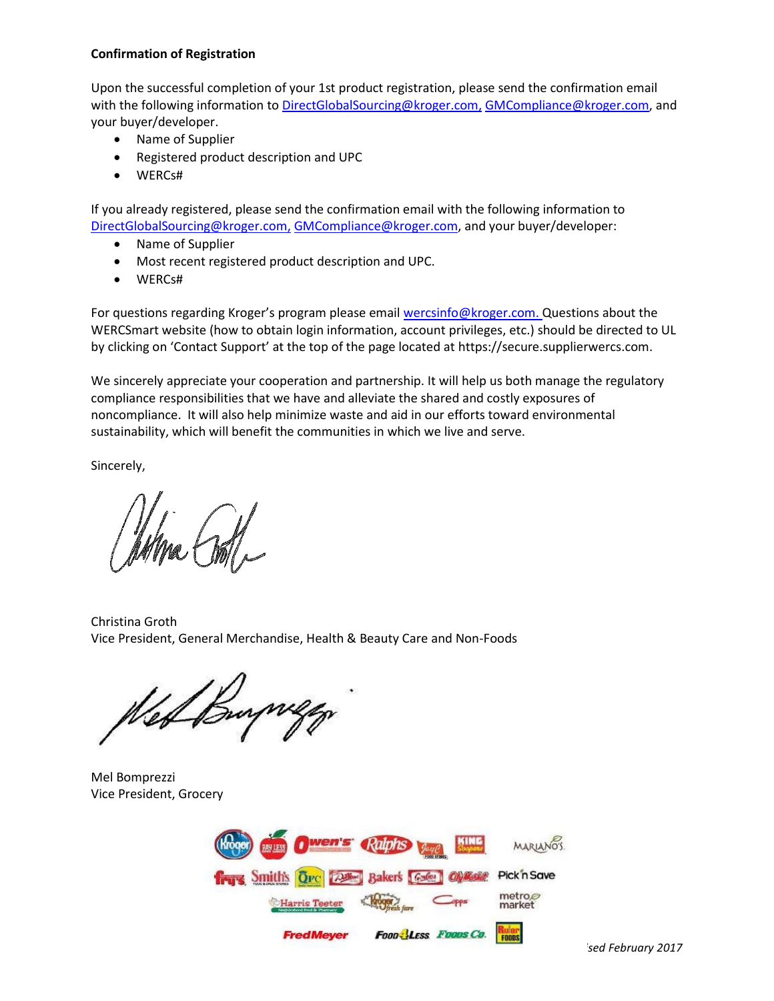## **Confirmation of Registration**

Upon the successful completion of your 1st product registration, please send the confirmation email with the following information to [DirectGlobalSourcing@kroger.com,](mailto:DirectGlobalSourcing@kroger.com) [GMCompliance@kroger.com,](mailto:GMCompliance@kroger.com) and your buyer/developer.

- Name of Supplier
- Registered product description and UPC
- WERCs#

If you already registered, please send the confirmation email with the following information to [DirectGlobalSourcing@kroger.com,](mailto:DirectGlobalSourcing@kroger.com) [GMCompliance@kroger.com,](mailto:GMCompliance@kroger.com) and your buyer/developer:

- Name of Supplier
- Most recent registered product description and UPC.
- WERCs#

For questions regarding Kroger's program please email [wercsinfo@kroger.com.](mailto:wercsinfo@kroger.com) Questions about the WERCSmart website (how to obtain login information, account privileges, etc.) should be directed to UL by clicking on 'Contact Support' at the top of the page located at [https://secure.supplierwercs.com.](https://secure.supplierwercs.com/)

We sincerely appreciate your cooperation and partnership. It will help us both manage the regulatory compliance responsibilities that we have and alleviate the shared and costly exposures of noncompliance. It will also help minimize waste and aid in our efforts toward environmental sustainability, which will benefit the communities in which we live and serve.

Sincerely,

Christina Groth Vice President, General Merchandise, Health & Beauty Care and Non-Foods

We Burger

Mel Bomprezzi Vice President, Grocery